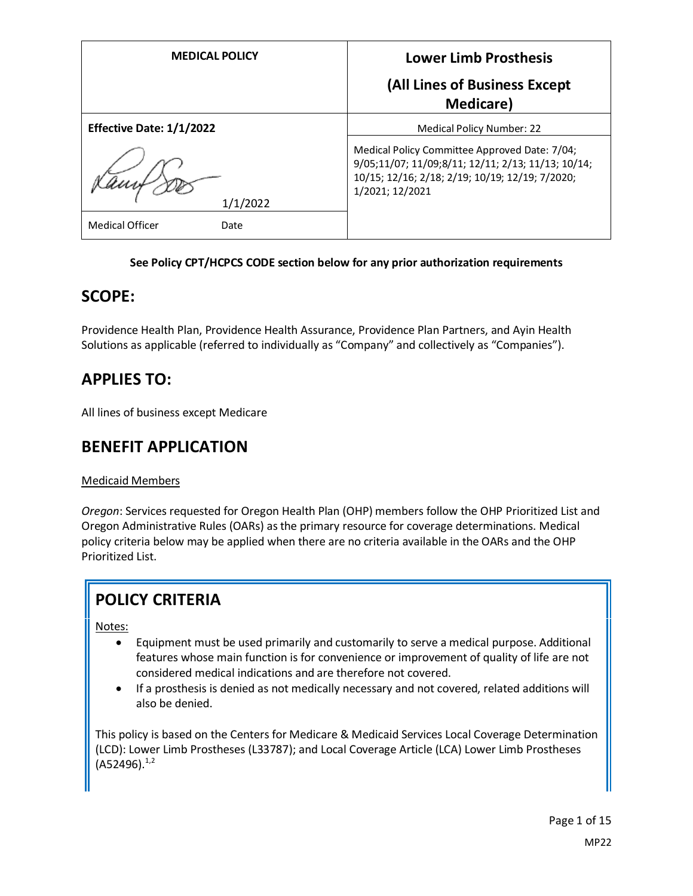| <b>MEDICAL POLICY</b>    | <b>Lower Limb Prosthesis</b>                                                                                                                                              |
|--------------------------|---------------------------------------------------------------------------------------------------------------------------------------------------------------------------|
|                          | (All Lines of Business Except<br><b>Medicare</b> )                                                                                                                        |
| Effective Date: 1/1/2022 | <b>Medical Policy Number: 22</b>                                                                                                                                          |
| 1/1/2022                 | Medical Policy Committee Approved Date: 7/04;<br>9/05;11/07; 11/09;8/11; 12/11; 2/13; 11/13; 10/14;<br>10/15; 12/16; 2/18; 2/19; 10/19; 12/19; 7/2020;<br>1/2021; 12/2021 |
| Medical Officer<br>Date  |                                                                                                                                                                           |

## **See Policy CPT/HCPCS CODE section below for any prior authorization requirements**

## **SCOPE:**

Providence Health Plan, Providence Health Assurance, Providence Plan Partners, and Ayin Health Solutions as applicable (referred to individually as "Company" and collectively as "Companies").

# **APPLIES TO:**

All lines of business except Medicare

# **BENEFIT APPLICATION**

## Medicaid Members

*Oregon*: Services requested for Oregon Health Plan (OHP) members follow the OHP Prioritized List and Oregon Administrative Rules (OARs) as the primary resource for coverage determinations. Medical policy criteria below may be applied when there are no criteria available in the OARs and the OHP Prioritized List.

# **POLICY CRITERIA**

Notes:

- Equipment must be used primarily and customarily to serve a medical purpose. Additional features whose main function is for convenience or improvement of quality of life are not considered medical indications and are therefore not covered.
- If a prosthesis is denied as not medically necessary and not covered, related additions will also be denied.

This policy is based on the Centers for Medicare & Medicaid Services Local Coverage Determination (LCD): Lower Limb Prostheses (L33787); and Local Coverage Article (LCA) Lower Limb Prostheses  $(A52496).^{1,2}$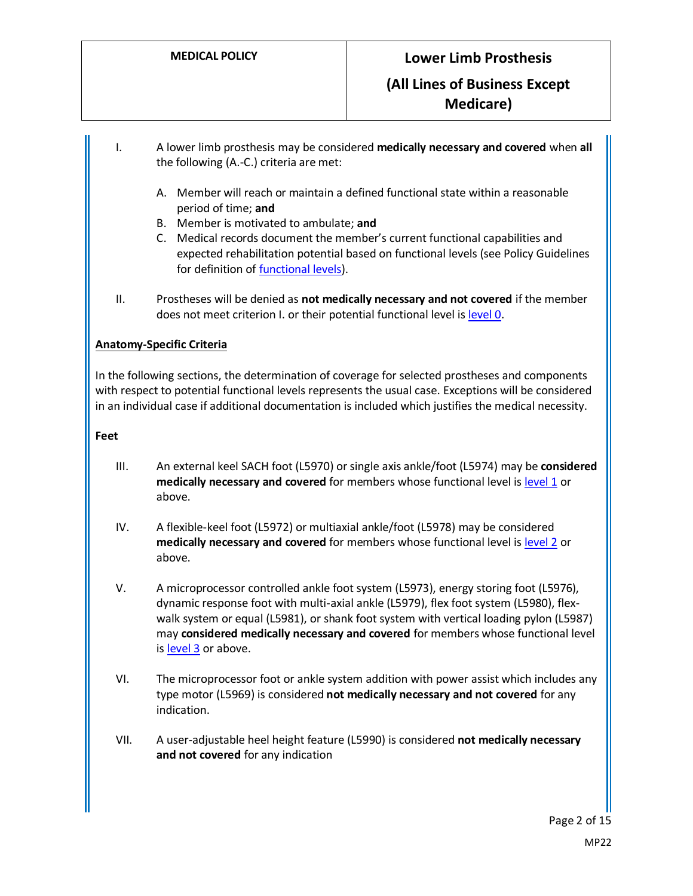I. A lower limb prosthesis may be considered **medically necessary and covered** when **all** the following (A.-C.) criteria are met:

- A. Member will reach or maintain a defined functional state within a reasonable period of time; **and**
- B. Member is motivated to ambulate; **and**
- C. Medical records document the member's current functional capabilities and expected rehabilitation potential based on functional levels (see Policy Guidelines for definition of **functional levels**).
- II. Prostheses will be denied as **not medically necessary and not covered** if the member does not meet criterion I. or their potential functional level i[s level 0.](#page-4-1)

#### **Anatomy-Specific Criteria**

In the following sections, the determination of coverage for selected prostheses and components with respect to potential functional levels represents the usual case. Exceptions will be considered in an individual case if additional documentation is included which justifies the medical necessity.

#### **Feet**

- III. An external keel SACH foot (L5970) or single axis ankle/foot (L5974) may be **considered medically necessary and covered** for members whose functional level i[s level 1](#page-4-2) or above.
- IV. A flexible-keel foot (L5972) or multiaxial ankle/foot (L5978) may be considered **medically necessary and covered** for members whose functional level i[s level 2](#page-4-3) or above.
- V. A microprocessor controlled ankle foot system (L5973), energy storing foot (L5976), dynamic response foot with multi-axial ankle (L5979), flex foot system (L5980), flexwalk system or equal (L5981), or shank foot system with vertical loading pylon (L5987) may **considered medically necessary and covered** for members whose functional level i[s level 3](#page-4-4) or above.
- VI. The microprocessor foot or ankle system addition with power assist which includes any type motor (L5969) is considered **not medically necessary and not covered** for any indication.
- VII. A user-adjustable heel height feature (L5990) is considered **not medically necessary and not covered** for any indication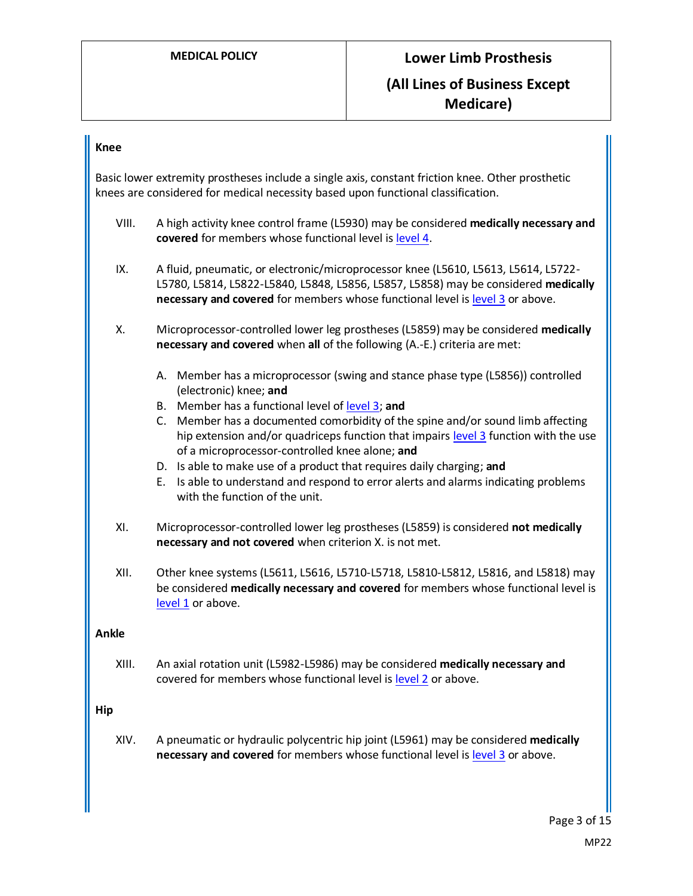#### **Knee**

Basic lower extremity prostheses include a single axis, constant friction knee. Other prosthetic knees are considered for medical necessity based upon functional classification.

- VIII. A high activity knee control frame (L5930) may be considered **medically necessary and covered** for members whose functional level is [level 4.](#page-5-0)
- IX. A fluid, pneumatic, or electronic/microprocessor knee (L5610, L5613, L5614, L5722- L5780, L5814, L5822-L5840, L5848, L5856, L5857, L5858) may be considered **medically necessary and covered** for members whose functional level is [level](#page-4-4) 3 or above.
- X. Microprocessor-controlled lower leg prostheses (L5859) may be considered **medically necessary and covered** when **all** of the following (A.-E.) criteria are met:
	- A. Member has a microprocessor (swing and stance phase type (L5856)) controlled (electronic) knee; **and**
	- B. Member has a functional level o[f level 3;](#page-4-4) **and**
	- C. Member has a documented comorbidity of the spine and/or sound limb affecting hip extension and/or quadriceps function that impairs [level 3](#page-4-4) function with the use of a microprocessor-controlled knee alone; **and**
	- D. Is able to make use of a product that requires daily charging; **and**
	- E. Is able to understand and respond to error alerts and alarms indicating problems with the function of the unit.
- XI. Microprocessor-controlled lower leg prostheses (L5859) is considered **not medically necessary and not covered** when criterion X. is not met.
- XII. Other knee systems (L5611, L5616, L5710-L5718, L5810-L5812, L5816, and L5818) may be considered **medically necessary and covered** for members whose functional level is [level 1](#page-4-2) or above.

#### **Ankle**

XIII. An axial rotation unit (L5982-L5986) may be considered **medically necessary and**  covered for members whose functional level is [level](#page-4-3) 2 or above.

#### **Hip**

XIV. A pneumatic or hydraulic polycentric hip joint (L5961) may be considered **medically necessary and covered** for members whose functional level is [level](#page-4-4) 3 or above.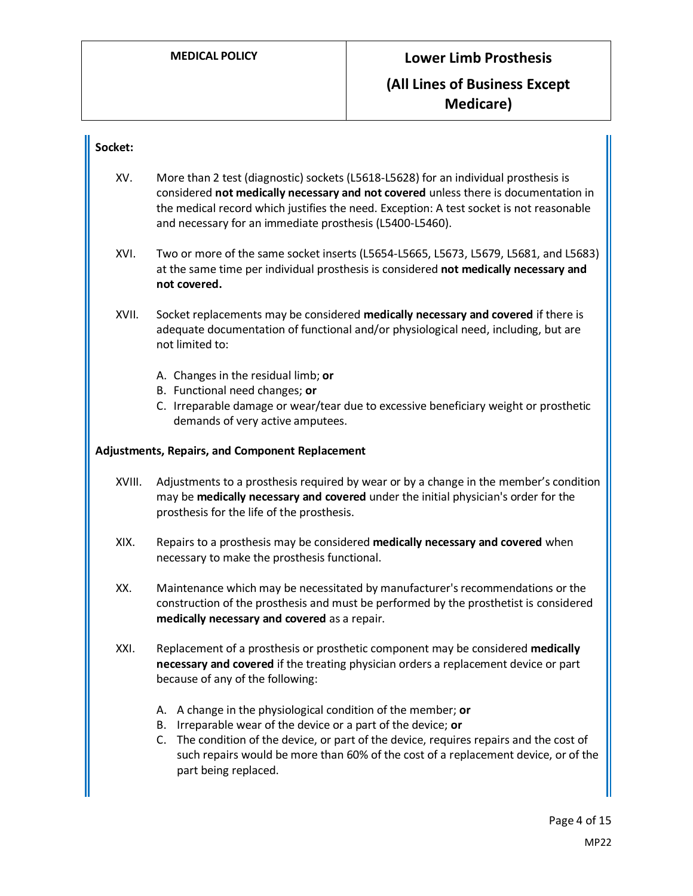## **Socket:**

- XV. More than 2 test (diagnostic) sockets (L5618-L5628) for an individual prosthesis is considered **not medically necessary and not covered** unless there is documentation in the medical record which justifies the need. Exception: A test socket is not reasonable and necessary for an immediate prosthesis (L5400-L5460).
- XVI. Two or more of the same socket inserts (L5654-L5665, L5673, L5679, L5681, and L5683) at the same time per individual prosthesis is considered **not medically necessary and not covered.**
- XVII. Socket replacements may be considered **medically necessary and covered** if there is adequate documentation of functional and/or physiological need, including, but are not limited to:
	- A. Changes in the residual limb; **or**
	- B. Functional need changes; **or**
	- C. Irreparable damage or wear/tear due to excessive beneficiary weight or prosthetic demands of very active amputees.

#### **Adjustments, Repairs, and Component Replacement**

- XVIII. Adjustments to a prosthesis required by wear or by a change in the member's condition may be **medically necessary and covered** under the initial physician's order for the prosthesis for the life of the prosthesis.
- XIX. Repairs to a prosthesis may be considered **medically necessary and covered** when necessary to make the prosthesis functional.
- XX. Maintenance which may be necessitated by manufacturer's recommendations or the construction of the prosthesis and must be performed by the prosthetist is considered **medically necessary and covered** as a repair.
- XXI. Replacement of a prosthesis or prosthetic component may be considered **medically necessary and covered** if the treating physician orders a replacement device or part because of any of the following:
	- A. A change in the physiological condition of the member; **or**
	- B. Irreparable wear of the device or a part of the device; **or**
	- C. The condition of the device, or part of the device, requires repairs and the cost of such repairs would be more than 60% of the cost of a replacement device, or of the part being replaced.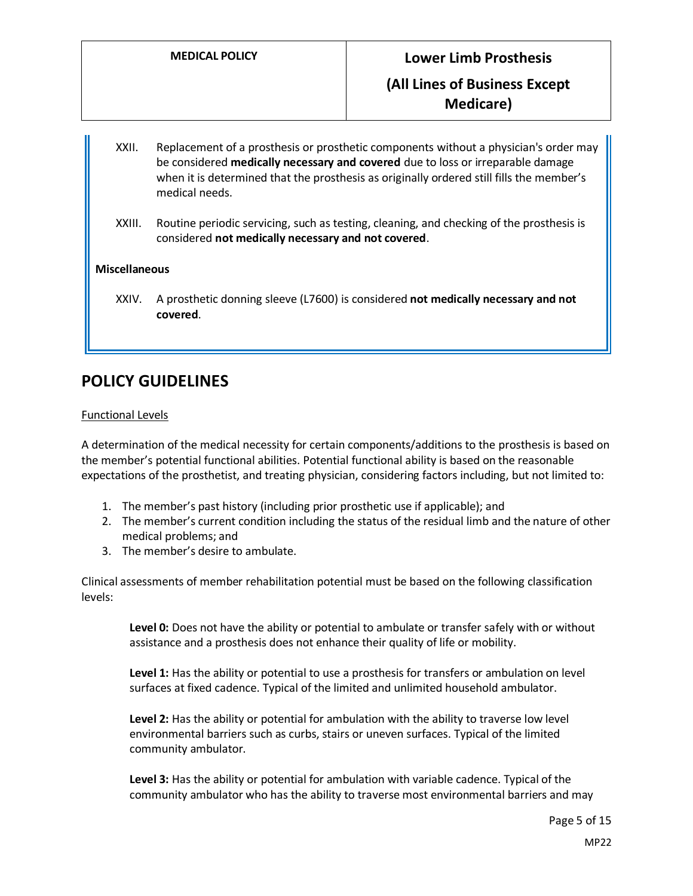- XXII. Replacement of a prosthesis or prosthetic components without a physician's order may be considered **medically necessary and covered** due to loss or irreparable damage when it is determined that the prosthesis as originally ordered still fills the member's medical needs.
- XXIII. Routine periodic servicing, such as testing, cleaning, and checking of the prosthesis is considered **not medically necessary and not covered**.

## **Miscellaneous**

XXIV. A prosthetic donning sleeve (L7600) is considered **not medically necessary and not covered**.

# **POLICY GUIDELINES**

#### <span id="page-4-0"></span>Functional Levels

A determination of the medical necessity for certain components/additions to the prosthesis is based on the member's potential functional abilities. Potential functional ability is based on the reasonable expectations of the prosthetist, and treating physician, considering factors including, but not limited to:

- 1. The member's past history (including prior prosthetic use if applicable); and
- 2. The member's current condition including the status of the residual limb and the nature of other medical problems; and
- 3. The member's desire to ambulate.

Clinical assessments of member rehabilitation potential must be based on the following classification levels:

<span id="page-4-1"></span>**Level 0:** Does not have the ability or potential to ambulate or transfer safely with or without assistance and a prosthesis does not enhance their quality of life or mobility.

<span id="page-4-2"></span>**Level 1:** Has the ability or potential to use a prosthesis for transfers or ambulation on level surfaces at fixed cadence. Typical of the limited and unlimited household ambulator.

<span id="page-4-3"></span>**Level 2:** Has the ability or potential for ambulation with the ability to traverse low level environmental barriers such as curbs, stairs or uneven surfaces. Typical of the limited community ambulator.

<span id="page-4-4"></span>**Level 3:** Has the ability or potential for ambulation with variable cadence. Typical of the community ambulator who has the ability to traverse most environmental barriers and may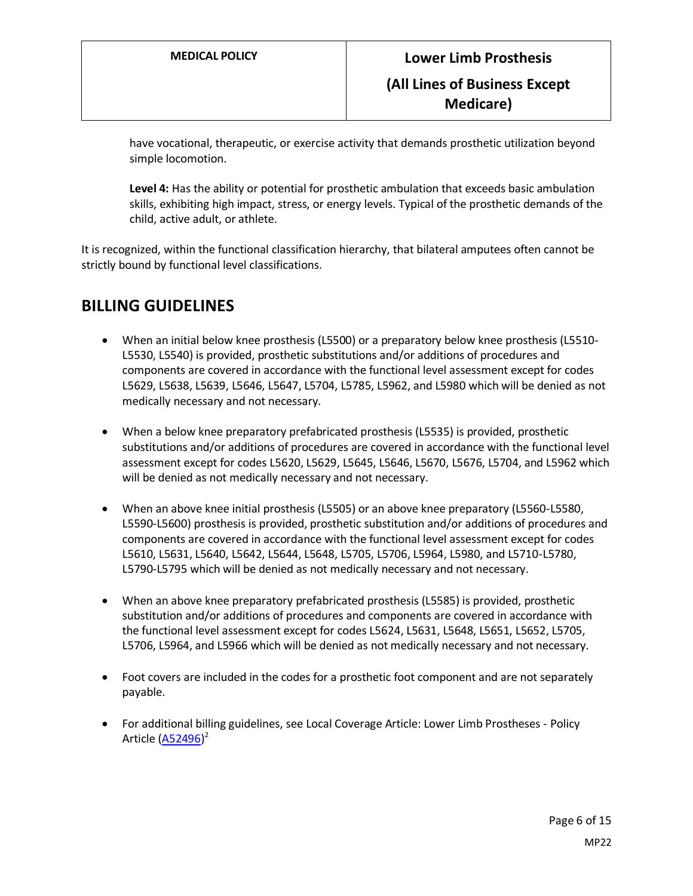have vocational, therapeutic, or exercise activity that demands prosthetic utilization beyond simple locomotion.

<span id="page-5-0"></span>**Level 4:** Has the ability or potential for prosthetic ambulation that exceeds basic ambulation skills, exhibiting high impact, stress, or energy levels. Typical of the prosthetic demands of the child, active adult, or athlete.

It is recognized, within the functional classification hierarchy, that bilateral amputees often cannot be strictly bound by functional level classifications.

# **BILLING GUIDELINES**

- When an initial below knee prosthesis (L5500) or a preparatory below knee prosthesis (L5510- L5530, L5540) is provided, prosthetic substitutions and/or additions of procedures and components are covered in accordance with the functional level assessment except for codes L5629, L5638, L5639, L5646, L5647, L5704, L5785, L5962, and L5980 which will be denied as not medically necessary and not necessary.
- When a below knee preparatory prefabricated prosthesis (L5535) is provided, prosthetic substitutions and/or additions of procedures are covered in accordance with the functional level assessment except for codes L5620, L5629, L5645, L5646, L5670, L5676, L5704, and L5962 which will be denied as not medically necessary and not necessary.
- When an above knee initial prosthesis (L5505) or an above knee preparatory (L5560-L5580, L5590-L5600) prosthesis is provided, prosthetic substitution and/or additions of procedures and components are covered in accordance with the functional level assessment except for codes L5610, L5631, L5640, L5642, L5644, L5648, L5705, L5706, L5964, L5980, and L5710-L5780, L5790-L5795 which will be denied as not medically necessary and not necessary.
- When an above knee preparatory prefabricated prosthesis (L5585) is provided, prosthetic substitution and/or additions of procedures and components are covered in accordance with the functional level assessment except for codes L5624, L5631, L5648, L5651, L5652, L5705, L5706, L5964, and L5966 which will be denied as not medically necessary and not necessary.
- Foot covers are included in the codes for a prosthetic foot component and are not separately payable.
- For additional billing guidelines, see Local Coverage Article: Lower Limb Prostheses Policy Article (<u>A52496</u>)<sup>2</sup>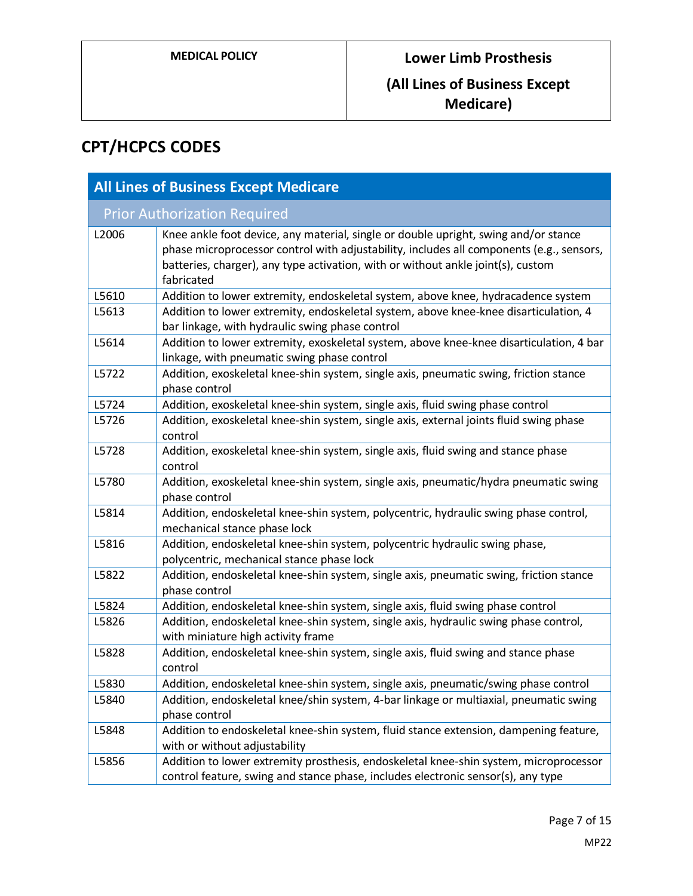# **(All Lines of Business Except Medicare)**

# **CPT/HCPCS CODES**

| <b>All Lines of Business Except Medicare</b> |                                                                                                                                                                                                                                                                                   |
|----------------------------------------------|-----------------------------------------------------------------------------------------------------------------------------------------------------------------------------------------------------------------------------------------------------------------------------------|
| <b>Prior Authorization Required</b>          |                                                                                                                                                                                                                                                                                   |
| L2006                                        | Knee ankle foot device, any material, single or double upright, swing and/or stance<br>phase microprocessor control with adjustability, includes all components (e.g., sensors,<br>batteries, charger), any type activation, with or without ankle joint(s), custom<br>fabricated |
| L5610                                        | Addition to lower extremity, endoskeletal system, above knee, hydracadence system                                                                                                                                                                                                 |
| L5613                                        | Addition to lower extremity, endoskeletal system, above knee-knee disarticulation, 4<br>bar linkage, with hydraulic swing phase control                                                                                                                                           |
| L5614                                        | Addition to lower extremity, exoskeletal system, above knee-knee disarticulation, 4 bar<br>linkage, with pneumatic swing phase control                                                                                                                                            |
| L5722                                        | Addition, exoskeletal knee-shin system, single axis, pneumatic swing, friction stance<br>phase control                                                                                                                                                                            |
| L5724                                        | Addition, exoskeletal knee-shin system, single axis, fluid swing phase control                                                                                                                                                                                                    |
| L5726                                        | Addition, exoskeletal knee-shin system, single axis, external joints fluid swing phase<br>control                                                                                                                                                                                 |
| L5728                                        | Addition, exoskeletal knee-shin system, single axis, fluid swing and stance phase<br>control                                                                                                                                                                                      |
| L5780                                        | Addition, exoskeletal knee-shin system, single axis, pneumatic/hydra pneumatic swing<br>phase control                                                                                                                                                                             |
| L5814                                        | Addition, endoskeletal knee-shin system, polycentric, hydraulic swing phase control,<br>mechanical stance phase lock                                                                                                                                                              |
| L5816                                        | Addition, endoskeletal knee-shin system, polycentric hydraulic swing phase,<br>polycentric, mechanical stance phase lock                                                                                                                                                          |
| L5822                                        | Addition, endoskeletal knee-shin system, single axis, pneumatic swing, friction stance<br>phase control                                                                                                                                                                           |
| L5824                                        | Addition, endoskeletal knee-shin system, single axis, fluid swing phase control                                                                                                                                                                                                   |
| L5826                                        | Addition, endoskeletal knee-shin system, single axis, hydraulic swing phase control,<br>with miniature high activity frame                                                                                                                                                        |
| L5828                                        | Addition, endoskeletal knee-shin system, single axis, fluid swing and stance phase<br>control                                                                                                                                                                                     |
| L5830                                        | Addition, endoskeletal knee-shin system, single axis, pneumatic/swing phase control                                                                                                                                                                                               |
| L5840                                        | Addition, endoskeletal knee/shin system, 4-bar linkage or multiaxial, pneumatic swing<br>phase control                                                                                                                                                                            |
| L5848                                        | Addition to endoskeletal knee-shin system, fluid stance extension, dampening feature,<br>with or without adjustability                                                                                                                                                            |
| L5856                                        | Addition to lower extremity prosthesis, endoskeletal knee-shin system, microprocessor<br>control feature, swing and stance phase, includes electronic sensor(s), any type                                                                                                         |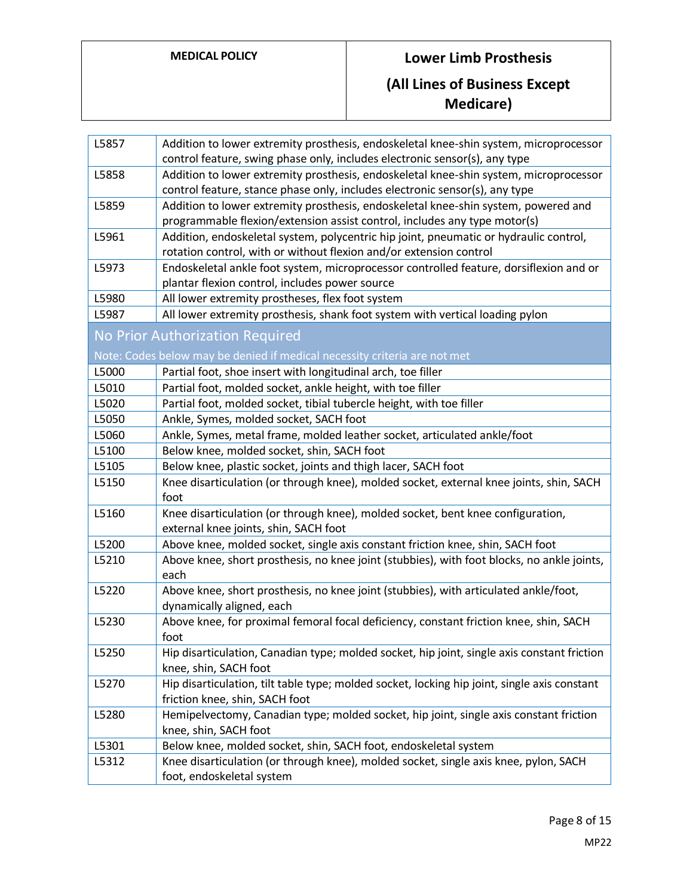| L5857 | Addition to lower extremity prosthesis, endoskeletal knee-shin system, microprocessor<br>control feature, swing phase only, includes electronic sensor(s), any type |
|-------|---------------------------------------------------------------------------------------------------------------------------------------------------------------------|
| L5858 | Addition to lower extremity prosthesis, endoskeletal knee-shin system, microprocessor                                                                               |
|       | control feature, stance phase only, includes electronic sensor(s), any type                                                                                         |
| L5859 | Addition to lower extremity prosthesis, endoskeletal knee-shin system, powered and                                                                                  |
|       | programmable flexion/extension assist control, includes any type motor(s)                                                                                           |
| L5961 | Addition, endoskeletal system, polycentric hip joint, pneumatic or hydraulic control,                                                                               |
|       | rotation control, with or without flexion and/or extension control                                                                                                  |
| L5973 | Endoskeletal ankle foot system, microprocessor controlled feature, dorsiflexion and or                                                                              |
|       | plantar flexion control, includes power source                                                                                                                      |
| L5980 | All lower extremity prostheses, flex foot system                                                                                                                    |
| L5987 | All lower extremity prosthesis, shank foot system with vertical loading pylon                                                                                       |
|       | No Prior Authorization Required                                                                                                                                     |
|       | Note: Codes below may be denied if medical necessity criteria are not met                                                                                           |
| L5000 | Partial foot, shoe insert with longitudinal arch, toe filler                                                                                                        |
| L5010 | Partial foot, molded socket, ankle height, with toe filler                                                                                                          |
| L5020 | Partial foot, molded socket, tibial tubercle height, with toe filler                                                                                                |
| L5050 | Ankle, Symes, molded socket, SACH foot                                                                                                                              |
| L5060 | Ankle, Symes, metal frame, molded leather socket, articulated ankle/foot                                                                                            |
| L5100 | Below knee, molded socket, shin, SACH foot                                                                                                                          |
| L5105 | Below knee, plastic socket, joints and thigh lacer, SACH foot                                                                                                       |
| L5150 | Knee disarticulation (or through knee), molded socket, external knee joints, shin, SACH<br>foot                                                                     |
| L5160 | Knee disarticulation (or through knee), molded socket, bent knee configuration,                                                                                     |
|       | external knee joints, shin, SACH foot                                                                                                                               |
| L5200 | Above knee, molded socket, single axis constant friction knee, shin, SACH foot                                                                                      |
| L5210 | Above knee, short prosthesis, no knee joint (stubbies), with foot blocks, no ankle joints,<br>each                                                                  |
| L5220 | Above knee, short prosthesis, no knee joint (stubbies), with articulated ankle/foot,                                                                                |
|       | dynamically aligned, each                                                                                                                                           |
| L5230 | Above knee, for proximal femoral focal deficiency, constant friction knee, shin, SACH                                                                               |
|       | foot                                                                                                                                                                |
| L5250 | Hip disarticulation, Canadian type; molded socket, hip joint, single axis constant friction                                                                         |
|       | knee, shin, SACH foot                                                                                                                                               |
| L5270 | Hip disarticulation, tilt table type; molded socket, locking hip joint, single axis constant                                                                        |
|       | friction knee, shin, SACH foot                                                                                                                                      |
| L5280 | Hemipelvectomy, Canadian type; molded socket, hip joint, single axis constant friction                                                                              |
|       | knee, shin, SACH foot                                                                                                                                               |
| L5301 | Below knee, molded socket, shin, SACH foot, endoskeletal system                                                                                                     |
| L5312 | Knee disarticulation (or through knee), molded socket, single axis knee, pylon, SACH                                                                                |
|       | foot, endoskeletal system                                                                                                                                           |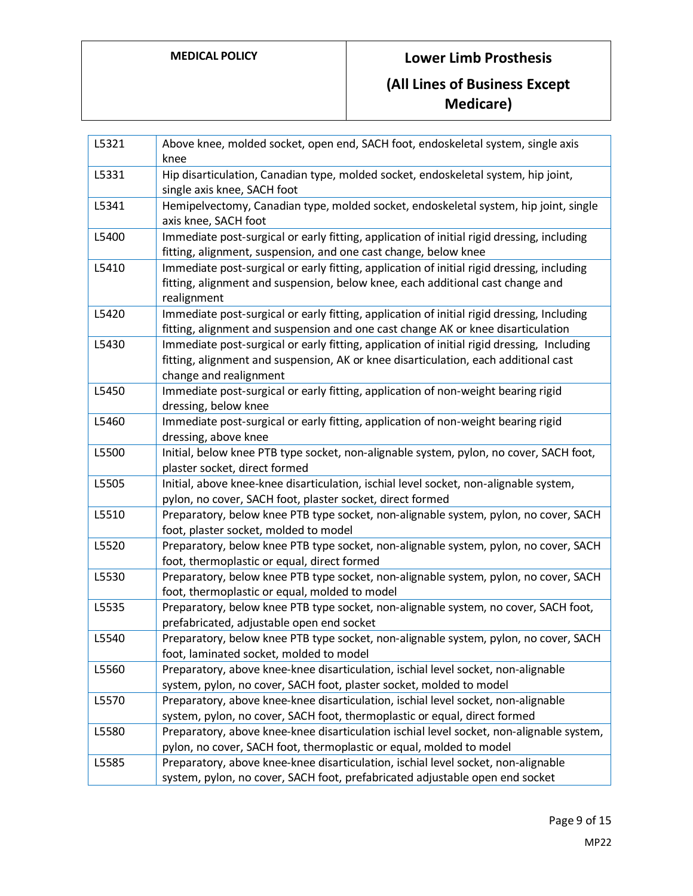| L5321 | Above knee, molded socket, open end, SACH foot, endoskeletal system, single axis<br>knee                                                                                                                    |
|-------|-------------------------------------------------------------------------------------------------------------------------------------------------------------------------------------------------------------|
| L5331 | Hip disarticulation, Canadian type, molded socket, endoskeletal system, hip joint,<br>single axis knee, SACH foot                                                                                           |
| L5341 | Hemipelvectomy, Canadian type, molded socket, endoskeletal system, hip joint, single<br>axis knee, SACH foot                                                                                                |
| L5400 | Immediate post-surgical or early fitting, application of initial rigid dressing, including<br>fitting, alignment, suspension, and one cast change, below knee                                               |
| L5410 | Immediate post-surgical or early fitting, application of initial rigid dressing, including<br>fitting, alignment and suspension, below knee, each additional cast change and<br>realignment                 |
| L5420 | Immediate post-surgical or early fitting, application of initial rigid dressing, Including<br>fitting, alignment and suspension and one cast change AK or knee disarticulation                              |
| L5430 | Immediate post-surgical or early fitting, application of initial rigid dressing, Including<br>fitting, alignment and suspension, AK or knee disarticulation, each additional cast<br>change and realignment |
| L5450 | Immediate post-surgical or early fitting, application of non-weight bearing rigid<br>dressing, below knee                                                                                                   |
| L5460 | Immediate post-surgical or early fitting, application of non-weight bearing rigid<br>dressing, above knee                                                                                                   |
| L5500 | Initial, below knee PTB type socket, non-alignable system, pylon, no cover, SACH foot,<br>plaster socket, direct formed                                                                                     |
| L5505 | Initial, above knee-knee disarticulation, ischial level socket, non-alignable system,<br>pylon, no cover, SACH foot, plaster socket, direct formed                                                          |
| L5510 | Preparatory, below knee PTB type socket, non-alignable system, pylon, no cover, SACH<br>foot, plaster socket, molded to model                                                                               |
| L5520 | Preparatory, below knee PTB type socket, non-alignable system, pylon, no cover, SACH<br>foot, thermoplastic or equal, direct formed                                                                         |
| L5530 | Preparatory, below knee PTB type socket, non-alignable system, pylon, no cover, SACH<br>foot, thermoplastic or equal, molded to model                                                                       |
| L5535 | Preparatory, below knee PTB type socket, non-alignable system, no cover, SACH foot,<br>prefabricated, adjustable open end socket                                                                            |
| L5540 | Preparatory, below knee PTB type socket, non-alignable system, pylon, no cover, SACH<br>foot, laminated socket, molded to model                                                                             |
| L5560 | Preparatory, above knee-knee disarticulation, ischial level socket, non-alignable<br>system, pylon, no cover, SACH foot, plaster socket, molded to model                                                    |
| L5570 | Preparatory, above knee-knee disarticulation, ischial level socket, non-alignable<br>system, pylon, no cover, SACH foot, thermoplastic or equal, direct formed                                              |
| L5580 | Preparatory, above knee-knee disarticulation ischial level socket, non-alignable system,<br>pylon, no cover, SACH foot, thermoplastic or equal, molded to model                                             |
| L5585 | Preparatory, above knee-knee disarticulation, ischial level socket, non-alignable<br>system, pylon, no cover, SACH foot, prefabricated adjustable open end socket                                           |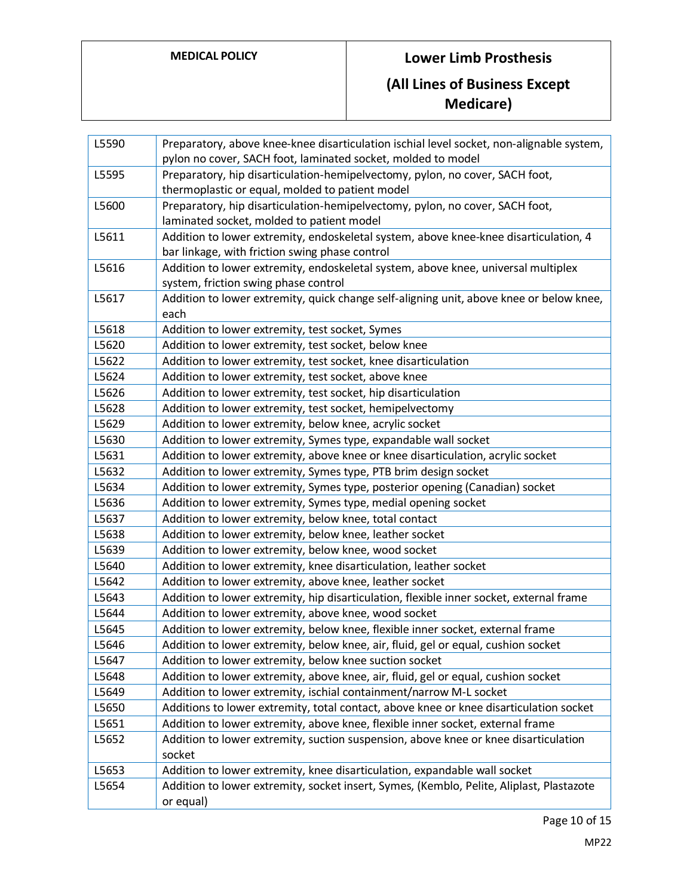| L5590 | Preparatory, above knee-knee disarticulation ischial level socket, non-alignable system,<br>pylon no cover, SACH foot, laminated socket, molded to model |
|-------|----------------------------------------------------------------------------------------------------------------------------------------------------------|
| L5595 | Preparatory, hip disarticulation-hemipelvectomy, pylon, no cover, SACH foot,<br>thermoplastic or equal, molded to patient model                          |
| L5600 | Preparatory, hip disarticulation-hemipelvectomy, pylon, no cover, SACH foot,                                                                             |
|       | laminated socket, molded to patient model                                                                                                                |
| L5611 | Addition to lower extremity, endoskeletal system, above knee-knee disarticulation, 4<br>bar linkage, with friction swing phase control                   |
| L5616 | Addition to lower extremity, endoskeletal system, above knee, universal multiplex                                                                        |
|       | system, friction swing phase control                                                                                                                     |
| L5617 | Addition to lower extremity, quick change self-aligning unit, above knee or below knee,                                                                  |
|       | each                                                                                                                                                     |
| L5618 | Addition to lower extremity, test socket, Symes                                                                                                          |
| L5620 | Addition to lower extremity, test socket, below knee                                                                                                     |
| L5622 | Addition to lower extremity, test socket, knee disarticulation                                                                                           |
| L5624 | Addition to lower extremity, test socket, above knee                                                                                                     |
| L5626 | Addition to lower extremity, test socket, hip disarticulation                                                                                            |
| L5628 | Addition to lower extremity, test socket, hemipelvectomy                                                                                                 |
| L5629 | Addition to lower extremity, below knee, acrylic socket                                                                                                  |
| L5630 | Addition to lower extremity, Symes type, expandable wall socket                                                                                          |
| L5631 | Addition to lower extremity, above knee or knee disarticulation, acrylic socket                                                                          |
| L5632 | Addition to lower extremity, Symes type, PTB brim design socket                                                                                          |
| L5634 | Addition to lower extremity, Symes type, posterior opening (Canadian) socket                                                                             |
| L5636 | Addition to lower extremity, Symes type, medial opening socket                                                                                           |
| L5637 | Addition to lower extremity, below knee, total contact                                                                                                   |
| L5638 | Addition to lower extremity, below knee, leather socket                                                                                                  |
| L5639 | Addition to lower extremity, below knee, wood socket                                                                                                     |
| L5640 | Addition to lower extremity, knee disarticulation, leather socket                                                                                        |
| L5642 | Addition to lower extremity, above knee, leather socket                                                                                                  |
| L5643 | Addition to lower extremity, hip disarticulation, flexible inner socket, external frame                                                                  |
| L5644 | Addition to lower extremity, above knee, wood socket                                                                                                     |
| L5645 | Addition to lower extremity, below knee, flexible inner socket, external frame                                                                           |
| L5646 | Addition to lower extremity, below knee, air, fluid, gel or equal, cushion socket                                                                        |
| L5647 | Addition to lower extremity, below knee suction socket                                                                                                   |
| L5648 | Addition to lower extremity, above knee, air, fluid, gel or equal, cushion socket                                                                        |
| L5649 | Addition to lower extremity, ischial containment/narrow M-L socket                                                                                       |
| L5650 | Additions to lower extremity, total contact, above knee or knee disarticulation socket                                                                   |
| L5651 | Addition to lower extremity, above knee, flexible inner socket, external frame                                                                           |
| L5652 | Addition to lower extremity, suction suspension, above knee or knee disarticulation<br>socket                                                            |
| L5653 | Addition to lower extremity, knee disarticulation, expandable wall socket                                                                                |
| L5654 | Addition to lower extremity, socket insert, Symes, (Kemblo, Pelite, Aliplast, Plastazote<br>or equal)                                                    |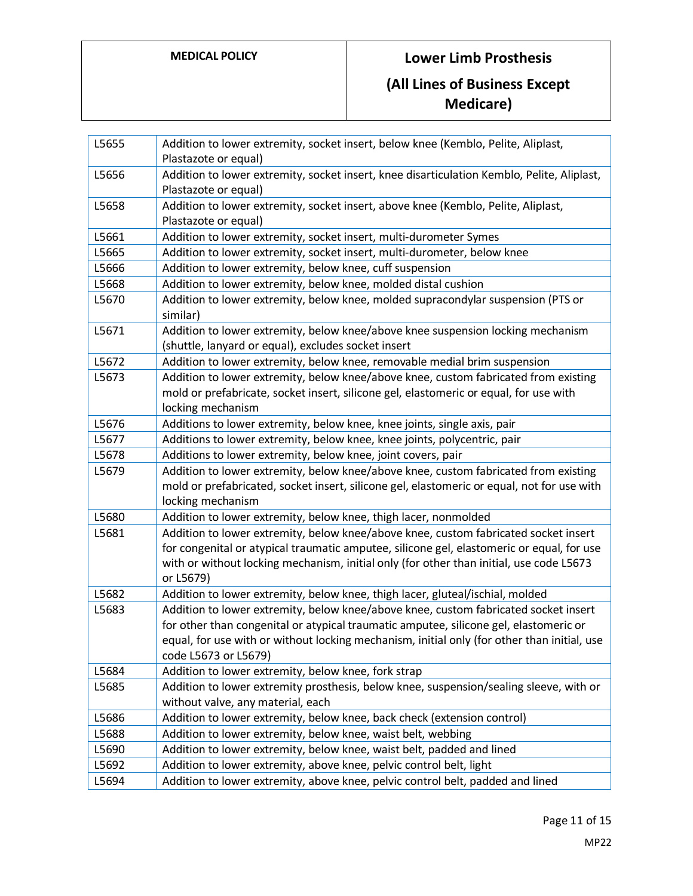| L5655 | Addition to lower extremity, socket insert, below knee (Kemblo, Pelite, Aliplast,<br>Plastazote or equal)                              |
|-------|----------------------------------------------------------------------------------------------------------------------------------------|
| L5656 | Addition to lower extremity, socket insert, knee disarticulation Kemblo, Pelite, Aliplast,<br>Plastazote or equal)                     |
| L5658 | Addition to lower extremity, socket insert, above knee (Kemblo, Pelite, Aliplast,<br>Plastazote or equal)                              |
| L5661 | Addition to lower extremity, socket insert, multi-durometer Symes                                                                      |
| L5665 | Addition to lower extremity, socket insert, multi-durometer, below knee                                                                |
| L5666 | Addition to lower extremity, below knee, cuff suspension                                                                               |
| L5668 | Addition to lower extremity, below knee, molded distal cushion                                                                         |
| L5670 | Addition to lower extremity, below knee, molded supracondylar suspension (PTS or<br>similar)                                           |
| L5671 | Addition to lower extremity, below knee/above knee suspension locking mechanism<br>(shuttle, lanyard or equal), excludes socket insert |
| L5672 | Addition to lower extremity, below knee, removable medial brim suspension                                                              |
| L5673 | Addition to lower extremity, below knee/above knee, custom fabricated from existing                                                    |
|       | mold or prefabricate, socket insert, silicone gel, elastomeric or equal, for use with<br>locking mechanism                             |
| L5676 | Additions to lower extremity, below knee, knee joints, single axis, pair                                                               |
| L5677 | Additions to lower extremity, below knee, knee joints, polycentric, pair                                                               |
| L5678 | Additions to lower extremity, below knee, joint covers, pair                                                                           |
| L5679 | Addition to lower extremity, below knee/above knee, custom fabricated from existing                                                    |
|       | mold or prefabricated, socket insert, silicone gel, elastomeric or equal, not for use with                                             |
|       | locking mechanism                                                                                                                      |
| L5680 | Addition to lower extremity, below knee, thigh lacer, nonmolded                                                                        |
| L5681 | Addition to lower extremity, below knee/above knee, custom fabricated socket insert                                                    |
|       | for congenital or atypical traumatic amputee, silicone gel, elastomeric or equal, for use                                              |
|       | with or without locking mechanism, initial only (for other than initial, use code L5673                                                |
|       | or L5679)                                                                                                                              |
| L5682 | Addition to lower extremity, below knee, thigh lacer, gluteal/ischial, molded                                                          |
| L5683 | Addition to lower extremity, below knee/above knee, custom fabricated socket insert                                                    |
|       | for other than congenital or atypical traumatic amputee, silicone gel, elastomeric or                                                  |
|       | equal, for use with or without locking mechanism, initial only (for other than initial, use                                            |
|       | code L5673 or L5679)                                                                                                                   |
| L5684 | Addition to lower extremity, below knee, fork strap                                                                                    |
| L5685 | Addition to lower extremity prosthesis, below knee, suspension/sealing sleeve, with or                                                 |
|       | without valve, any material, each                                                                                                      |
| L5686 | Addition to lower extremity, below knee, back check (extension control)                                                                |
| L5688 | Addition to lower extremity, below knee, waist belt, webbing                                                                           |
| L5690 | Addition to lower extremity, below knee, waist belt, padded and lined                                                                  |
| L5692 | Addition to lower extremity, above knee, pelvic control belt, light                                                                    |
| L5694 | Addition to lower extremity, above knee, pelvic control belt, padded and lined                                                         |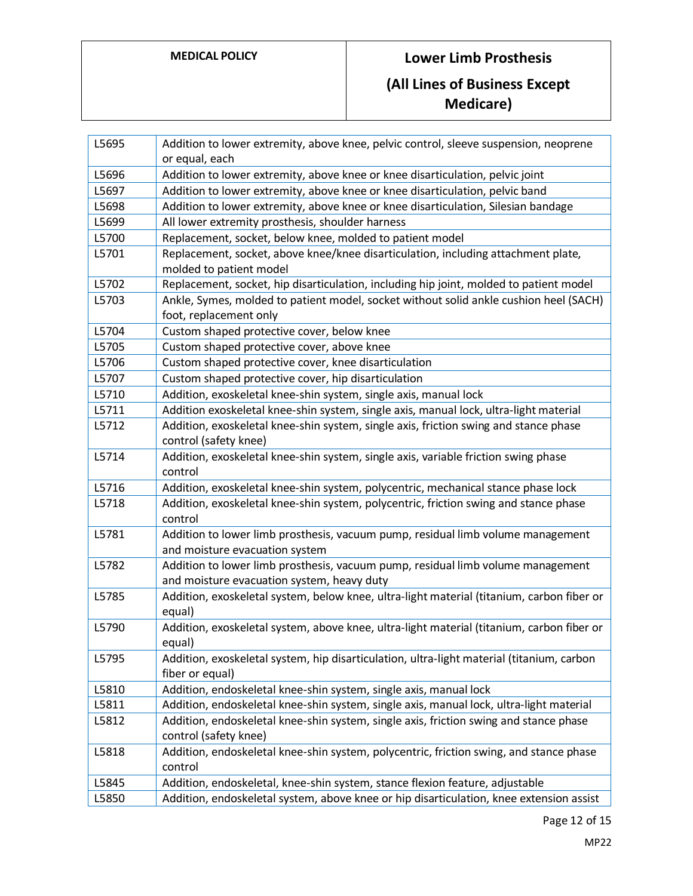| L5695 | Addition to lower extremity, above knee, pelvic control, sleeve suspension, neoprene                                          |
|-------|-------------------------------------------------------------------------------------------------------------------------------|
|       | or equal, each                                                                                                                |
| L5696 | Addition to lower extremity, above knee or knee disarticulation, pelvic joint                                                 |
| L5697 | Addition to lower extremity, above knee or knee disarticulation, pelvic band                                                  |
| L5698 | Addition to lower extremity, above knee or knee disarticulation, Silesian bandage                                             |
| L5699 | All lower extremity prosthesis, shoulder harness                                                                              |
| L5700 | Replacement, socket, below knee, molded to patient model                                                                      |
| L5701 | Replacement, socket, above knee/knee disarticulation, including attachment plate,<br>molded to patient model                  |
| L5702 | Replacement, socket, hip disarticulation, including hip joint, molded to patient model                                        |
| L5703 | Ankle, Symes, molded to patient model, socket without solid ankle cushion heel (SACH)                                         |
|       | foot, replacement only                                                                                                        |
| L5704 | Custom shaped protective cover, below knee                                                                                    |
| L5705 | Custom shaped protective cover, above knee                                                                                    |
| L5706 | Custom shaped protective cover, knee disarticulation                                                                          |
| L5707 | Custom shaped protective cover, hip disarticulation                                                                           |
| L5710 | Addition, exoskeletal knee-shin system, single axis, manual lock                                                              |
| L5711 | Addition exoskeletal knee-shin system, single axis, manual lock, ultra-light material                                         |
| L5712 | Addition, exoskeletal knee-shin system, single axis, friction swing and stance phase                                          |
|       | control (safety knee)                                                                                                         |
| L5714 | Addition, exoskeletal knee-shin system, single axis, variable friction swing phase                                            |
|       | control                                                                                                                       |
| L5716 | Addition, exoskeletal knee-shin system, polycentric, mechanical stance phase lock                                             |
| L5718 | Addition, exoskeletal knee-shin system, polycentric, friction swing and stance phase<br>control                               |
| L5781 | Addition to lower limb prosthesis, vacuum pump, residual limb volume management<br>and moisture evacuation system             |
| L5782 | Addition to lower limb prosthesis, vacuum pump, residual limb volume management<br>and moisture evacuation system, heavy duty |
| L5785 | Addition, exoskeletal system, below knee, ultra-light material (titanium, carbon fiber or<br>equal)                           |
| L5790 | Addition, exoskeletal system, above knee, ultra-light material (titanium, carbon fiber or<br>equal)                           |
| L5795 | Addition, exoskeletal system, hip disarticulation, ultra-light material (titanium, carbon<br>fiber or equal)                  |
| L5810 | Addition, endoskeletal knee-shin system, single axis, manual lock                                                             |
| L5811 | Addition, endoskeletal knee-shin system, single axis, manual lock, ultra-light material                                       |
| L5812 | Addition, endoskeletal knee-shin system, single axis, friction swing and stance phase                                         |
|       | control (safety knee)                                                                                                         |
| L5818 | Addition, endoskeletal knee-shin system, polycentric, friction swing, and stance phase                                        |
|       | control                                                                                                                       |
| L5845 | Addition, endoskeletal, knee-shin system, stance flexion feature, adjustable                                                  |
| L5850 | Addition, endoskeletal system, above knee or hip disarticulation, knee extension assist                                       |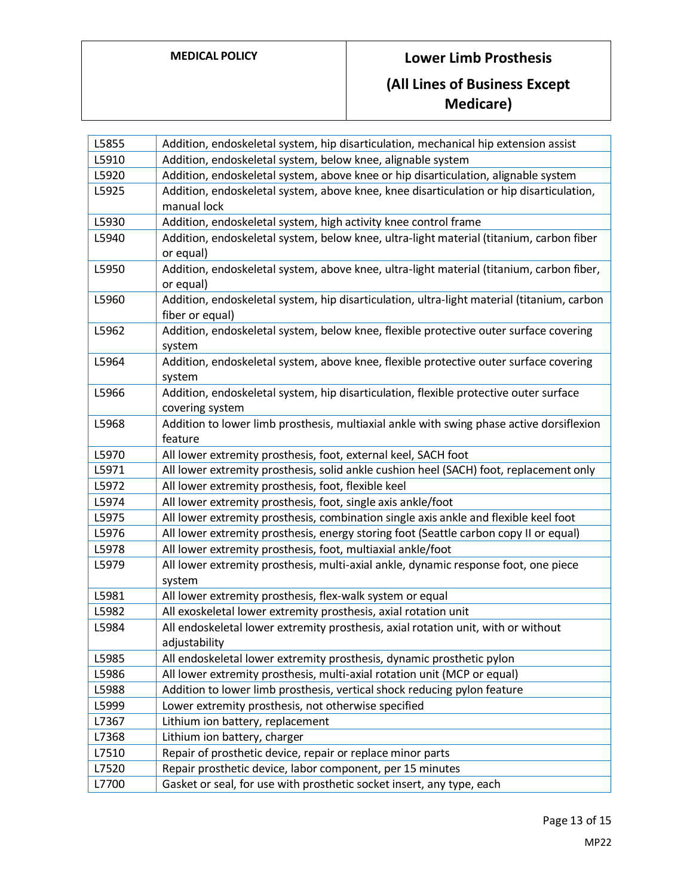| L5855 | Addition, endoskeletal system, hip disarticulation, mechanical hip extension assist                           |
|-------|---------------------------------------------------------------------------------------------------------------|
| L5910 | Addition, endoskeletal system, below knee, alignable system                                                   |
| L5920 | Addition, endoskeletal system, above knee or hip disarticulation, alignable system                            |
| L5925 | Addition, endoskeletal system, above knee, knee disarticulation or hip disarticulation,<br>manual lock        |
| L5930 | Addition, endoskeletal system, high activity knee control frame                                               |
| L5940 | Addition, endoskeletal system, below knee, ultra-light material (titanium, carbon fiber<br>or equal)          |
| L5950 | Addition, endoskeletal system, above knee, ultra-light material (titanium, carbon fiber,<br>or equal)         |
| L5960 | Addition, endoskeletal system, hip disarticulation, ultra-light material (titanium, carbon<br>fiber or equal) |
| L5962 | Addition, endoskeletal system, below knee, flexible protective outer surface covering<br>system               |
| L5964 | Addition, endoskeletal system, above knee, flexible protective outer surface covering<br>system               |
| L5966 | Addition, endoskeletal system, hip disarticulation, flexible protective outer surface<br>covering system      |
| L5968 | Addition to lower limb prosthesis, multiaxial ankle with swing phase active dorsiflexion<br>feature           |
| L5970 | All lower extremity prosthesis, foot, external keel, SACH foot                                                |
| L5971 | All lower extremity prosthesis, solid ankle cushion heel (SACH) foot, replacement only                        |
| L5972 | All lower extremity prosthesis, foot, flexible keel                                                           |
| L5974 | All lower extremity prosthesis, foot, single axis ankle/foot                                                  |
| L5975 | All lower extremity prosthesis, combination single axis ankle and flexible keel foot                          |
| L5976 | All lower extremity prosthesis, energy storing foot (Seattle carbon copy II or equal)                         |
| L5978 | All lower extremity prosthesis, foot, multiaxial ankle/foot                                                   |
| L5979 | All lower extremity prosthesis, multi-axial ankle, dynamic response foot, one piece<br>system                 |
| L5981 | All lower extremity prosthesis, flex-walk system or equal                                                     |
| L5982 | All exoskeletal lower extremity prosthesis, axial rotation unit                                               |
| L5984 | All endoskeletal lower extremity prosthesis, axial rotation unit, with or without<br>adjustability            |
| L5985 | All endoskeletal lower extremity prosthesis, dynamic prosthetic pylon                                         |
| L5986 | All lower extremity prosthesis, multi-axial rotation unit (MCP or equal)                                      |
| L5988 | Addition to lower limb prosthesis, vertical shock reducing pylon feature                                      |
| L5999 | Lower extremity prosthesis, not otherwise specified                                                           |
| L7367 | Lithium ion battery, replacement                                                                              |
| L7368 | Lithium ion battery, charger                                                                                  |
| L7510 | Repair of prosthetic device, repair or replace minor parts                                                    |
| L7520 | Repair prosthetic device, labor component, per 15 minutes                                                     |
| L7700 | Gasket or seal, for use with prosthetic socket insert, any type, each                                         |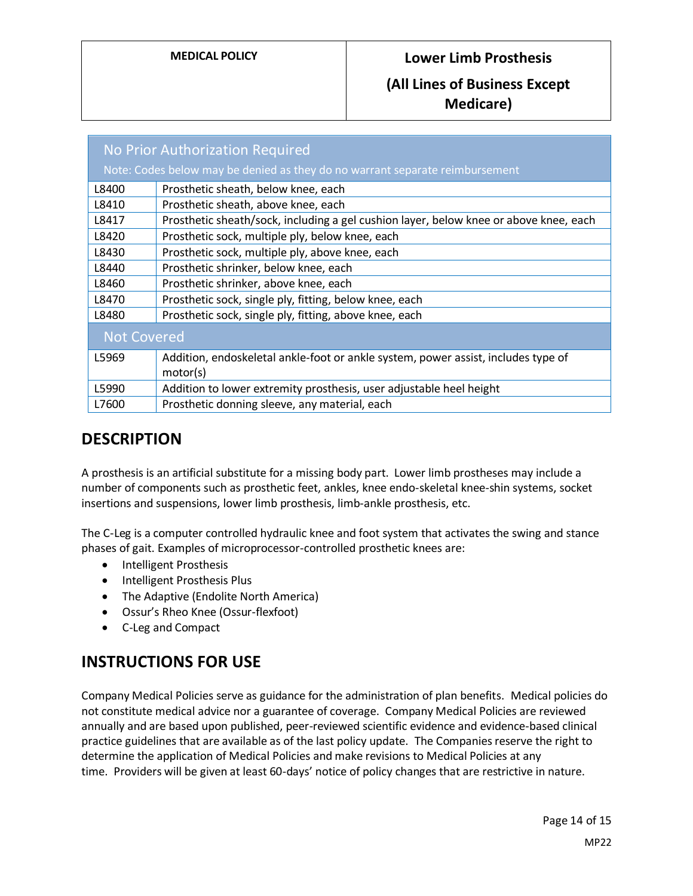## **(All Lines of Business Except Medicare)**

| No Prior Authorization Required                                              |                                                                                               |
|------------------------------------------------------------------------------|-----------------------------------------------------------------------------------------------|
| Note: Codes below may be denied as they do no warrant separate reimbursement |                                                                                               |
| L8400                                                                        | Prosthetic sheath, below knee, each                                                           |
| L8410                                                                        | Prosthetic sheath, above knee, each                                                           |
| L8417                                                                        | Prosthetic sheath/sock, including a gel cushion layer, below knee or above knee, each         |
| L8420                                                                        | Prosthetic sock, multiple ply, below knee, each                                               |
| L8430                                                                        | Prosthetic sock, multiple ply, above knee, each                                               |
| L8440                                                                        | Prosthetic shrinker, below knee, each                                                         |
| L8460                                                                        | Prosthetic shrinker, above knee, each                                                         |
| L8470                                                                        | Prosthetic sock, single ply, fitting, below knee, each                                        |
| L8480                                                                        | Prosthetic sock, single ply, fitting, above knee, each                                        |
| <b>Not Covered</b>                                                           |                                                                                               |
| L5969                                                                        | Addition, endoskeletal ankle-foot or ankle system, power assist, includes type of<br>motor(s) |
| L5990                                                                        | Addition to lower extremity prosthesis, user adjustable heel height                           |
| L7600                                                                        | Prosthetic donning sleeve, any material, each                                                 |

# **DESCRIPTION**

A prosthesis is an artificial substitute for a missing body part. Lower limb prostheses may include a number of components such as prosthetic feet, ankles, knee endo-skeletal knee-shin systems, socket insertions and suspensions, lower limb prosthesis, limb-ankle prosthesis, etc.

The C-Leg is a computer controlled hydraulic knee and foot system that activates the swing and stance phases of gait. Examples of microprocessor-controlled prosthetic knees are:

- Intelligent Prosthesis
- Intelligent Prosthesis Plus
- The Adaptive (Endolite North America)
- Ossur's Rheo Knee (Ossur-flexfoot)
- C-Leg and Compact

# **INSTRUCTIONS FOR USE**

Company Medical Policies serve as guidance for the administration of plan benefits. Medical policies do not constitute medical advice nor a guarantee of coverage. Company Medical Policies are reviewed annually and are based upon published, peer-reviewed scientific evidence and evidence-based clinical practice guidelines that are available as of the last policy update. The Companies reserve the right to determine the application of Medical Policies and make revisions to Medical Policies at any time. Providers will be given at least 60-days' notice of policy changes that are restrictive in nature.